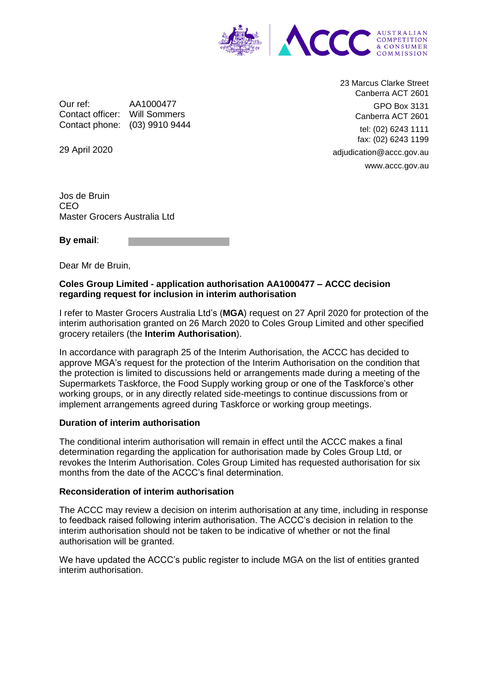

Our ref: AA1000477 Contact officer: Will Sommers Contact phone: (03) 9910 9444

23 Marcus Clarke Street Canberra ACT 2601 GPO Box 3131 Canberra ACT 2601 tel: (02) 6243 1111 fax: (02) 6243 1199 adjudication@accc.gov.au www.accc.gov.au

29 April 2020

Jos de Bruin CEO Master Grocers Australia Ltd

**By email**:

Dear Mr de Bruin,

## **Coles Group Limited - application authorisation AA1000477 – ACCC decision regarding request for inclusion in interim authorisation**

I refer to Master Grocers Australia Ltd's (**MGA**) request on 27 April 2020 for protection of the interim authorisation granted on 26 March 2020 to Coles Group Limited and other specified grocery retailers (the **Interim Authorisation**).

In accordance with paragraph 25 of the Interim Authorisation, the ACCC has decided to approve MGA's request for the protection of the Interim Authorisation on the condition that the protection is limited to discussions held or arrangements made during a meeting of the Supermarkets Taskforce, the Food Supply working group or one of the Taskforce's other working groups, or in any directly related side-meetings to continue discussions from or implement arrangements agreed during Taskforce or working group meetings.

## **Duration of interim authorisation**

The conditional interim authorisation will remain in effect until the ACCC makes a final determination regarding the application for authorisation made by Coles Group Ltd, or revokes the Interim Authorisation. Coles Group Limited has requested authorisation for six months from the date of the ACCC's final determination.

## **Reconsideration of interim authorisation**

The ACCC may review a decision on interim authorisation at any time, including in response to feedback raised following interim authorisation. The ACCC's decision in relation to the interim authorisation should not be taken to be indicative of whether or not the final authorisation will be granted.

We have updated the ACCC's public register to include MGA on the list of entities granted interim authorisation.